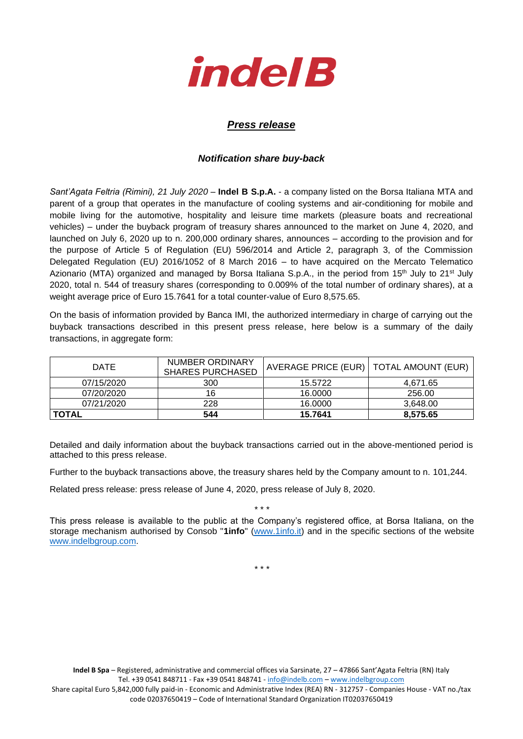

## *Press release*

## *Notification share buy-back*

*Sant'Agata Feltria (Rimini), 21 July 2020* – **Indel B S.p.A.** - a company listed on the Borsa Italiana MTA and parent of a group that operates in the manufacture of cooling systems and air-conditioning for mobile and mobile living for the automotive, hospitality and leisure time markets (pleasure boats and recreational vehicles) – under the buyback program of treasury shares announced to the market on June 4, 2020, and launched on July 6, 2020 up to n. 200,000 ordinary shares, announces – according to the provision and for the purpose of Article 5 of Regulation (EU) 596/2014 and Article 2, paragraph 3, of the Commission Delegated Regulation (EU) 2016/1052 of 8 March 2016 – to have acquired on the Mercato Telematico Azionario (MTA) organized and managed by Borsa Italiana S.p.A., in the period from 15<sup>th</sup> July to 21<sup>st</sup> July 2020, total n. 544 of treasury shares (corresponding to 0.009% of the total number of ordinary shares), at a weight average price of Euro 15.7641 for a total counter-value of Euro 8,575.65.

On the basis of information provided by Banca IMI, the authorized intermediary in charge of carrying out the buyback transactions described in this present press release, here below is a summary of the daily transactions, in aggregate form:

| 07/21/2020<br><b>TOTAL</b> | 228<br>544                                 | 16,0000<br>15.7641                       | 3,648.00<br>8,575.65 |
|----------------------------|--------------------------------------------|------------------------------------------|----------------------|
| 07/20/2020                 | 16                                         | 16,0000                                  | 256.00               |
| 07/15/2020                 | 300                                        | 15.5722                                  | 4.671.65             |
| <b>DATE</b>                | NUMBER ORDINARY<br><b>SHARES PURCHASED</b> | AVERAGE PRICE (EUR)   TOTAL AMOUNT (EUR) |                      |

Detailed and daily information about the buyback transactions carried out in the above-mentioned period is attached to this press release.

Further to the buyback transactions above, the treasury shares held by the Company amount to n. 101,244.

Related press release: press release of June 4, 2020, press release of July 8, 2020.

This press release is available to the public at the Company's registered office, at Borsa Italiana, on the storage mechanism authorised by Consob "**1info**" [\(www.1info.it\)](file:///C:/Users/ddelietovollaro/AppData/Local/Microsoft/Windows/INetCache/Content.Outlook/T87B94UR/www.1info.it) and in the specific sections of the website [www.indelbgroup.com.](http://www.indelbgroup.com/)

\* \* \*

\* \* \*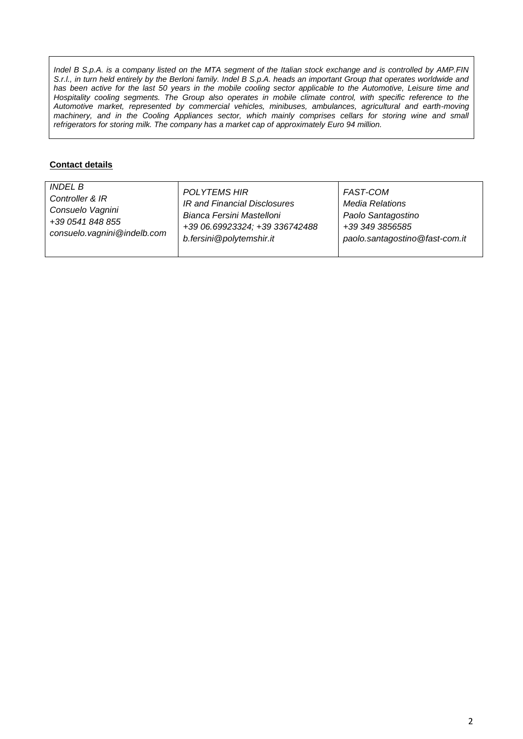*Indel B S.p.A. is a company listed on the MTA segment of the Italian stock exchange and is controlled by AMP.FIN S.r.l., in turn held entirely by the Berloni family. Indel B S.p.A. heads an important Group that operates worldwide and* has been active for the last 50 years in the mobile cooling sector applicable to the Automotive, Leisure time and Hospitality cooling segments. The Group also operates in mobile climate control, with specific reference to the *Automotive market, represented by commercial vehicles, minibuses, ambulances, agricultural and earth-moving machinery, and in the Cooling Appliances sector, which mainly comprises cellars for storing wine and small refrigerators for storing milk. The company has a market cap of approximately Euro 94 million.*

## **Contact details**

| <b>INDEL B</b>              | <b>POLYTEMS HIR</b>            | FAST-COM                       |
|-----------------------------|--------------------------------|--------------------------------|
| Controller & IR             | IR and Financial Disclosures   | <b>Media Relations</b>         |
| Consuelo Vagnini            | Bianca Fersini Mastelloni      | Paolo Santagostino             |
| +39 0541 848 855            | +39 06.69923324; +39 336742488 | +39 349 3856585                |
| consuelo.vagnini@indelb.com | b.fersini@polytemshir.it       | paolo.santagostino@fast-com.it |
|                             |                                |                                |